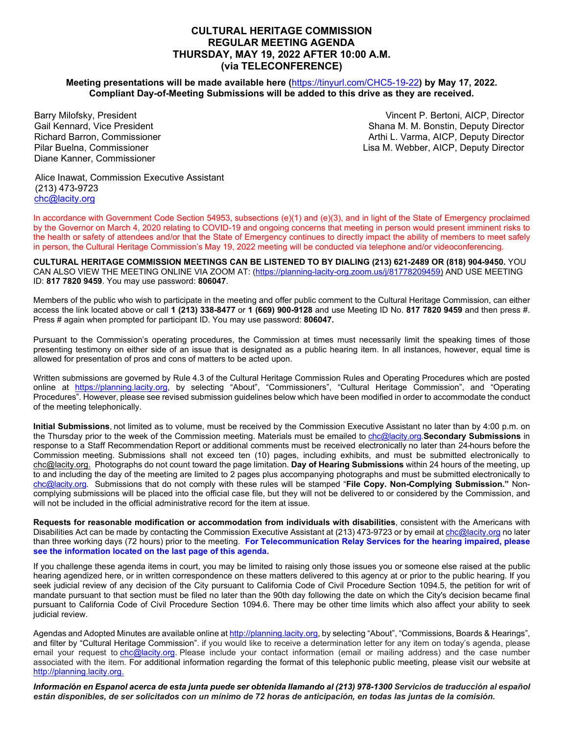## **CULTURAL HERITAGE COMMISSION REGULAR MEETING AGENDA THURSDAY, MAY 19, 2022 AFTER 10:00 A.M. (via TELECONFERENCE)**

#### **Meeting presentations will be made available here (**<https://tinyurl.com/CHC5-19-22>**) by May 17, 2022. Compliant Day-of-Meeting Submissions will be added to this drive as they are received.**

Barry Milofsky, President Gail Kennard, Vice President Richard Barron, Commissioner Pilar Buelna, Commissioner Diane Kanner, Commissioner

Vincent P. Bertoni, AICP, Director Shana M. M. Bonstin, Deputy Director Arthi L. Varma, AICP, Deputy Director Lisa M. Webber, AICP, Deputy Director

Alice Inawat, Commission Executive Assistant (213) 473-9723 [chc@lacity.org](about:blank)

In accordance with Government Code Section 54953, subsections (e)(1) and (e)(3), and in light of the State of Emergency proclaimed by the Governor on March 4, 2020 relating to COVID-19 and ongoing concerns that meeting in person would present imminent risks to the health or safety of attendees and/or that the State of Emergency continues to directly impact the ability of members to meet safely in person, the Cultural Heritage Commission's May 19, 2022 meeting will be conducted via telephone and/or videoconferencing.

**CULTURAL HERITAGE COMMISSION MEETINGS CAN BE LISTENED TO BY DIALING (213) 621-2489 OR (818) 904-9450.** YOU CAN ALSO VIEW THE MEETING ONLINE VIA ZOOM AT: [\(https://planning-lacity-org.zoom.us/j/81778209459\)](https://planning-lacity-org.zoom.us/j/81778209459) AND USE MEETING ID: **817 7820 9459**. You may use password: **806047**.

Members of the public who wish to participate in the meeting and offer public comment to the Cultural Heritage Commission, can either access the link located above or call **1 (213) 338-8477** or **1 (669) 900-9128** and use Meeting ID No. **817 7820 9459** and then press #. Press # again when prompted for participant ID. You may use password: **806047.**

Pursuant to the Commission's operating procedures, the Commission at times must necessarily limit the speaking times of those presenting testimony on either side of an issue that is designated as a public hearing item. In all instances, however, equal time is allowed for presentation of pros and cons of matters to be acted upon.

Written submissions are governed by Rule 4.3 of the Cultural Heritage Commission Rules and Operating Procedures which are posted online at [https://planning.lacity.org,](about:blank) by selecting "About", "Commissioners", "Cultural Heritage Commission", and "Operating Procedures". However, please see revised submission guidelines below which have been modified in order to accommodate the conduct of the meeting telephonically.

**Initial Submissions**, not limited as to volume, must be received by the Commission Executive Assistant no later than by 4:00 p.m. on the Thursday prior to the week of the Commission meeting. Materials must be emailed to [chc@lacity.org.](about:blank)**Secondary Submissions** in response to a Staff Recommendation Report or additional comments must be received electronically no later than 24-hours before the Commission meeting. Submissions shall not exceed ten (10) pages, including exhibits, and must be submitted electronically to [chc@lacity.org.](about:blank) Photographs do not count toward the page limitation. **Day of Hearing Submissions** within 24 hours of the meeting, up to and including the day of the meeting are limited to 2 pages plus accompanying photographs and must be submitted electronically to [chc@lacity.org.](about:blank) Submissions that do not comply with these rules will be stamped "**File Copy. Non-Complying Submission."** Noncomplying submissions will be placed into the official case file, but they will not be delivered to or considered by the Commission, and will not be included in the official administrative record for the item at issue.

**Requests for reasonable modification or accommodation from individuals with disabilities**, consistent with the Americans with Disabilities Act can be made by contacting the Commission Executive Assistant at (213) 473-9723 or by email at [chc@lacity.org](about:blank) no later than three working days (72 hours) prior to the meeting. **For Telecommunication Relay Services for the hearing impaired, please see the information located on the last page of this agenda.**

If you challenge these agenda items in court, you may be limited to raising only those issues you or someone else raised at the public hearing agendized here, or in written correspondence on these matters delivered to this agency at or prior to the public hearing. If you seek judicial review of any decision of the City pursuant to California Code of Civil Procedure Section 1094.5, the petition for writ of mandate pursuant to that section must be filed no later than the 90th day following the date on which the City's decision became final pursuant to California Code of Civil Procedure Section 1094.6. There may be other time limits which also affect your ability to seek judicial review.

Agendas and Adopted Minutes are available online at http://planning.lacity.org, by selecting "About", "Commissions, Boards & Hearings", and filter by "Cultural Heritage Commission". if you would like to receive a determination letter for any item on today's agenda, please email your request to ch[c@lacity.org.](about:blank) Please include your contact information (email or mailing address) and the case number associated with the item. For additional information regarding the format of this telephonic public meeting, please visit our website at [http://planning.lacity.org.](about:blank)

*Información en Espanol acerca de esta junta puede ser obtenida Ilamando al (213) 978-1300 Servicios de traducción al español están disponibles, de ser solicitados con un mínimo de 72 horas de anticipación, en todas las juntas de la comisión.*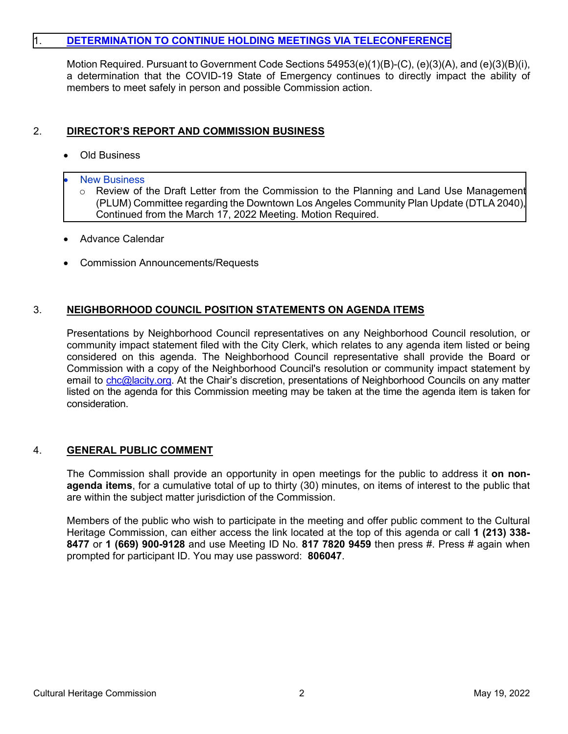# 1. **[DETERMINATION TO CONTINUE HOLDING MEETINGS VIA TELECONFERENCE](https://planning.lacity.org/plndoc/Staff_Reports/2022/05-19-2022/Item_01_CHC___Resolution_05.19.22.pdf)**

Motion Required. Pursuant to Government Code Sections 54953(e)(1)(B)-(C), (e)(3)(A), and (e)(3)(B)(i), a determination that the COVID-19 State of Emergency continues to directly impact the ability of members to meet safely in person and possible Commission action.

# 2. **DIRECTOR'S REPORT AND COMMISSION BUSINESS**

- Old Business
- **New Business** 
	- $\circ$  Review of the Draft Letter from the Commission to the Planning and Land Use Management [\(PLUM\) Committee regarding the Downtown Los Angeles Community Plan Update \(DTLA 2040\),](https://planning.lacity.org/plndoc/Staff_Reports/2022/05-19-2022/Item_02_CHC_PLUM_Letter_DTLA2040.pdf) Continued from the March 17, 2022 Meeting. Motion Required.
- Advance Calendar
- Commission Announcements/Requests

# 3. **NEIGHBORHOOD COUNCIL POSITION STATEMENTS ON AGENDA ITEMS**

Presentations by Neighborhood Council representatives on any Neighborhood Council resolution, or community impact statement filed with the City Clerk, which relates to any agenda item listed or being considered on this agenda. The Neighborhood Council representative shall provide the Board or Commission with a copy of the Neighborhood Council's resolution or community impact statement by email to [chc@lacity.org.](about:blank) At the Chair's discretion, presentations of Neighborhood Councils on any matter listed on the agenda for this Commission meeting may be taken at the time the agenda item is taken for consideration.

# 4. **GENERAL PUBLIC COMMENT**

The Commission shall provide an opportunity in open meetings for the public to address it **on nonagenda items**, for a cumulative total of up to thirty (30) minutes, on items of interest to the public that are within the subject matter jurisdiction of the Commission.

Members of the public who wish to participate in the meeting and offer public comment to the Cultural Heritage Commission, can either access the link located at the top of this agenda or call **1 (213) 338- 8477** or **1 (669) 900-9128** and use Meeting ID No. **817 7820 9459** then press #. Press # again when prompted for participant ID. You may use password: **806047**.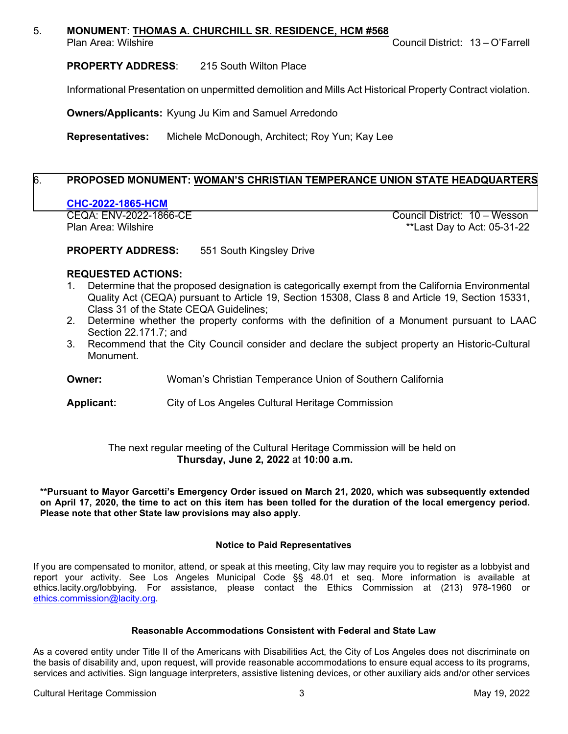### 5. **MONUMENT**: **THOMAS A. CHURCHILL SR. RESIDENCE, HCM #568**

Plan Area: Wilshire **Council District: 13 – O'Farrell** 

**PROPERTY ADDRESS**: 215 South Wilton Place

Informational Presentation on unpermitted demolition and Mills Act Historical Property Contract violation.

**Owners/Applicants:** Kyung Ju Kim and Samuel Arredondo

**Representatives:** Michele McDonough, Architect; Roy Yun; Kay Lee

# 6. **PROPOSED MONUMENT: [WOMAN'S CHRISTIAN TEMPERANCE UNION](https://planning.lacity.org/plndoc/Staff_Reports/2022/05-19-2022/CHC_2022_1865_HCM_Woman_s_Christian_Temperance_Union__5_19_22_.pdf) STATE HEADQUARTERS**

**CHC-2022-1865-HCM**

Council District: 10 – Wesson Plan Area: Wilshire \*\*Last Day to Act: 05-31-22

**PROPERTY ADDRESS:** 551 South Kingsley Drive

## **REQUESTED ACTIONS:**

- 1. Determine that the proposed designation is categorically exempt from the California Environmental Quality Act (CEQA) pursuant to Article 19, Section 15308, Class 8 and Article 19, Section 15331, Class 31 of the State CEQA Guidelines;
- 2. Determine whether the property conforms with the definition of a Monument pursuant to LAAC Section 22.171.7; and
- 3. Recommend that the City Council consider and declare the subject property an Historic-Cultural Monument.
- **Owner:** Woman's Christian Temperance Union of Southern California
- **Applicant:** City of Los Angeles Cultural Heritage Commission

## The next regular meeting of the Cultural Heritage Commission will be held on **Thursday, June 2, 2022** at **10:00 a.m.**

**\*\*Pursuant to Mayor Garcetti's Emergency Order issued on March 21, 2020, which was subsequently extended on April 17, 2020, the time to act on this item has been tolled for the duration of the local emergency period. Please note that other State law provisions may also apply.**

#### **Notice to Paid Representatives**

If you are compensated to monitor, attend, or speak at this meeting, City law may require you to register as a lobbyist and report your activity. See Los Angeles Municipal Code §§ 48.01 et seq. More information is available at ethics.lacity.org/lobbying. For assistance, please contact the Ethics Commission at (213) 978-1960 or [ethics.commission@lacity.org.](about:blank)

### **Reasonable Accommodations Consistent with Federal and State Law**

As a covered entity under Title II of the Americans with Disabilities Act, the City of Los Angeles does not discriminate on the basis of disability and, upon request, will provide reasonable accommodations to ensure equal access to its programs, services and activities. Sign language interpreters, assistive listening devices, or other auxiliary aids and/or other services

Cultural Heritage Commission 3 May 19, 2022